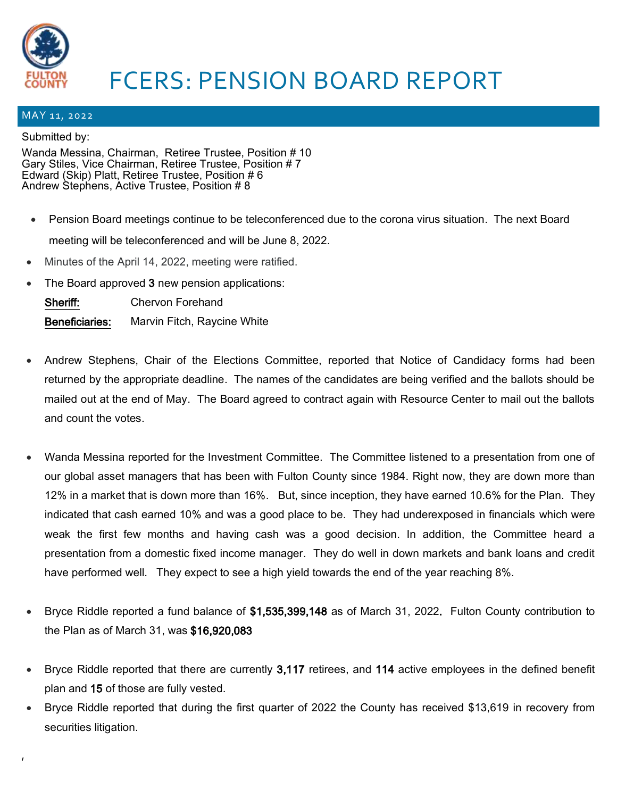

## FCERS: PENSION BOARD REPORT

## MAY 11, 2022

## Submitted by:

,

Wanda Messina, Chairman, Retiree Trustee, Position # 10 Gary Stiles, Vice Chairman, Retiree Trustee, Position # 7 Edward (Skip) Platt, Retiree Trustee, Position # 6 Andrew Stephens, Active Trustee, Position # 8

- Pension Board meetings continue to be teleconferenced due to the corona virus situation. The next Board meeting will be teleconferenced and will be June 8, 2022.
- Minutes of the April 14, 2022, meeting were ratified.
- The Board approved 3 new pension applications:

| Sheriff:              | <b>Chervon Forehand</b>     |
|-----------------------|-----------------------------|
| <b>Beneficiaries:</b> | Marvin Fitch, Raycine White |

- Andrew Stephens, Chair of the Elections Committee, reported that Notice of Candidacy forms had been returned by the appropriate deadline. The names of the candidates are being verified and the ballots should be mailed out at the end of May. The Board agreed to contract again with Resource Center to mail out the ballots and count the votes.
- Wanda Messina reported for the Investment Committee. The Committee listened to a presentation from one of our global asset managers that has been with Fulton County since 1984. Right now, they are down more than 12% in a market that is down more than 16%. But, since inception, they have earned 10.6% for the Plan. They indicated that cash earned 10% and was a good place to be. They had underexposed in financials which were weak the first few months and having cash was a good decision. In addition, the Committee heard a presentation from a domestic fixed income manager. They do well in down markets and bank loans and credit have performed well. They expect to see a high yield towards the end of the year reaching 8%.
- Bryce Riddle reported a fund balance of \$1,535,399,148 as of March 31, 2022. Fulton County contribution to the Plan as of March 31, was \$16,920,083
- Bryce Riddle reported that there are currently 3,117 retirees, and 114 active employees in the defined benefit plan and 15 of those are fully vested.
- Bryce Riddle reported that during the first quarter of 2022 the County has received \$13,619 in recovery from securities litigation.